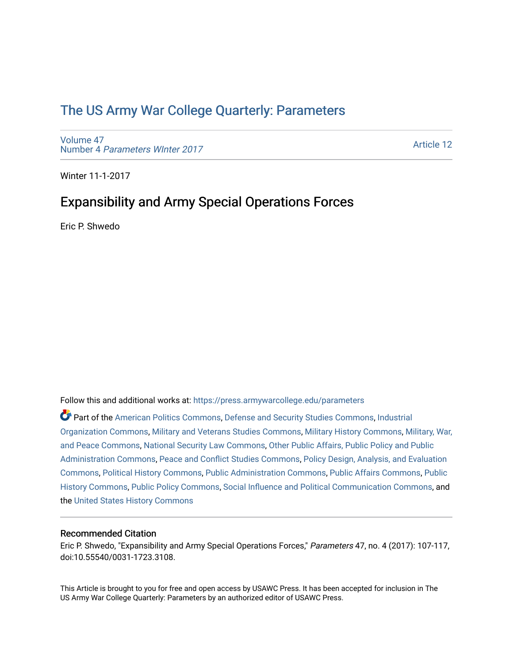# [The US Army War College Quarterly: Parameters](https://press.armywarcollege.edu/parameters)

[Volume 47](https://press.armywarcollege.edu/parameters/vol47) Number 4 [Parameters WInter 2017](https://press.armywarcollege.edu/parameters/vol47/iss4) 

[Article 12](https://press.armywarcollege.edu/parameters/vol47/iss4/12) 

Winter 11-1-2017

## Expansibility and Army Special Operations Forces

Eric P. Shwedo

Follow this and additional works at: [https://press.armywarcollege.edu/parameters](https://press.armywarcollege.edu/parameters?utm_source=press.armywarcollege.edu%2Fparameters%2Fvol47%2Fiss4%2F12&utm_medium=PDF&utm_campaign=PDFCoverPages) 

Part of the [American Politics Commons,](http://network.bepress.com/hgg/discipline/387?utm_source=press.armywarcollege.edu%2Fparameters%2Fvol47%2Fiss4%2F12&utm_medium=PDF&utm_campaign=PDFCoverPages) [Defense and Security Studies Commons](http://network.bepress.com/hgg/discipline/394?utm_source=press.armywarcollege.edu%2Fparameters%2Fvol47%2Fiss4%2F12&utm_medium=PDF&utm_campaign=PDFCoverPages), [Industrial](http://network.bepress.com/hgg/discipline/347?utm_source=press.armywarcollege.edu%2Fparameters%2Fvol47%2Fiss4%2F12&utm_medium=PDF&utm_campaign=PDFCoverPages) [Organization Commons](http://network.bepress.com/hgg/discipline/347?utm_source=press.armywarcollege.edu%2Fparameters%2Fvol47%2Fiss4%2F12&utm_medium=PDF&utm_campaign=PDFCoverPages), [Military and Veterans Studies Commons,](http://network.bepress.com/hgg/discipline/396?utm_source=press.armywarcollege.edu%2Fparameters%2Fvol47%2Fiss4%2F12&utm_medium=PDF&utm_campaign=PDFCoverPages) [Military History Commons,](http://network.bepress.com/hgg/discipline/504?utm_source=press.armywarcollege.edu%2Fparameters%2Fvol47%2Fiss4%2F12&utm_medium=PDF&utm_campaign=PDFCoverPages) [Military, War,](http://network.bepress.com/hgg/discipline/861?utm_source=press.armywarcollege.edu%2Fparameters%2Fvol47%2Fiss4%2F12&utm_medium=PDF&utm_campaign=PDFCoverPages)  [and Peace Commons](http://network.bepress.com/hgg/discipline/861?utm_source=press.armywarcollege.edu%2Fparameters%2Fvol47%2Fiss4%2F12&utm_medium=PDF&utm_campaign=PDFCoverPages), [National Security Law Commons,](http://network.bepress.com/hgg/discipline/1114?utm_source=press.armywarcollege.edu%2Fparameters%2Fvol47%2Fiss4%2F12&utm_medium=PDF&utm_campaign=PDFCoverPages) [Other Public Affairs, Public Policy and Public](http://network.bepress.com/hgg/discipline/403?utm_source=press.armywarcollege.edu%2Fparameters%2Fvol47%2Fiss4%2F12&utm_medium=PDF&utm_campaign=PDFCoverPages)  [Administration Commons,](http://network.bepress.com/hgg/discipline/403?utm_source=press.armywarcollege.edu%2Fparameters%2Fvol47%2Fiss4%2F12&utm_medium=PDF&utm_campaign=PDFCoverPages) [Peace and Conflict Studies Commons,](http://network.bepress.com/hgg/discipline/397?utm_source=press.armywarcollege.edu%2Fparameters%2Fvol47%2Fiss4%2F12&utm_medium=PDF&utm_campaign=PDFCoverPages) [Policy Design, Analysis, and Evaluation](http://network.bepress.com/hgg/discipline/1032?utm_source=press.armywarcollege.edu%2Fparameters%2Fvol47%2Fiss4%2F12&utm_medium=PDF&utm_campaign=PDFCoverPages)  [Commons](http://network.bepress.com/hgg/discipline/1032?utm_source=press.armywarcollege.edu%2Fparameters%2Fvol47%2Fiss4%2F12&utm_medium=PDF&utm_campaign=PDFCoverPages), [Political History Commons](http://network.bepress.com/hgg/discipline/505?utm_source=press.armywarcollege.edu%2Fparameters%2Fvol47%2Fiss4%2F12&utm_medium=PDF&utm_campaign=PDFCoverPages), [Public Administration Commons](http://network.bepress.com/hgg/discipline/398?utm_source=press.armywarcollege.edu%2Fparameters%2Fvol47%2Fiss4%2F12&utm_medium=PDF&utm_campaign=PDFCoverPages), [Public Affairs Commons](http://network.bepress.com/hgg/discipline/399?utm_source=press.armywarcollege.edu%2Fparameters%2Fvol47%2Fiss4%2F12&utm_medium=PDF&utm_campaign=PDFCoverPages), [Public](http://network.bepress.com/hgg/discipline/1292?utm_source=press.armywarcollege.edu%2Fparameters%2Fvol47%2Fiss4%2F12&utm_medium=PDF&utm_campaign=PDFCoverPages) [History Commons](http://network.bepress.com/hgg/discipline/1292?utm_source=press.armywarcollege.edu%2Fparameters%2Fvol47%2Fiss4%2F12&utm_medium=PDF&utm_campaign=PDFCoverPages), [Public Policy Commons](http://network.bepress.com/hgg/discipline/400?utm_source=press.armywarcollege.edu%2Fparameters%2Fvol47%2Fiss4%2F12&utm_medium=PDF&utm_campaign=PDFCoverPages), [Social Influence and Political Communication Commons](http://network.bepress.com/hgg/discipline/337?utm_source=press.armywarcollege.edu%2Fparameters%2Fvol47%2Fiss4%2F12&utm_medium=PDF&utm_campaign=PDFCoverPages), and the [United States History Commons](http://network.bepress.com/hgg/discipline/495?utm_source=press.armywarcollege.edu%2Fparameters%2Fvol47%2Fiss4%2F12&utm_medium=PDF&utm_campaign=PDFCoverPages) 

### Recommended Citation

Eric P. Shwedo, "Expansibility and Army Special Operations Forces," Parameters 47, no. 4 (2017): 107-117, doi:10.55540/0031-1723.3108.

This Article is brought to you for free and open access by USAWC Press. It has been accepted for inclusion in The US Army War College Quarterly: Parameters by an authorized editor of USAWC Press.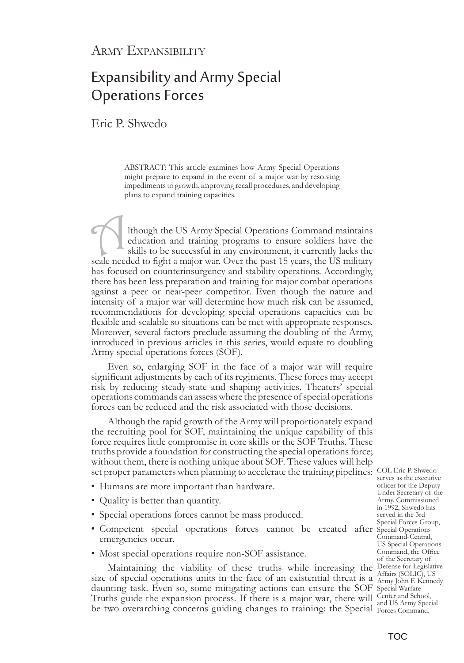# Expansibility and Army Special Operations Forces

## Eric P. Shwedo

ABSTRACT: This article examines how Army Special Operations might prepare to expand in the event of a major war by resolving impediments to growth, improving recall procedures, and developing plans to expand training capacities.

Ithough the US Army Special Operations Command maintains education and training programs to ensure soldiers have the skills to be successful in any environment, it currently lacks the scale needed to fight a major war. Over the past 15 years, the US military has focused on counterinsurgency and stability operations. Accordingly, there has been less preparation and training for major combat operations against a peer or near-peer competitor. Even though the nature and intensity of a major war will determine how much risk can be assumed, recommendations for developing special operations capacities can be flexible and scalable so situations can be met with appropriate responses. Moreover, several factors preclude assuming the doubling of the Army, introduced in previous articles in this series, would equate to doubling Army special operations forces (SOF).

Even so, enlarging SOF in the face of a major war will require significant adjustments by each of its regiments. These forces may accept risk by reducing steady-state and shaping activities. Theaters' special operations commands can assess where the presence of special operations forces can be reduced and the risk associated with those decisions.

set proper parameters when planning to accelerate the training pipelines: COL Eric P. Shwedo Although the rapid growth of the Army will proportionately expand the recruiting pool for SOF, maintaining the unique capability of this force requires little compromise in core skills or the SOF Truths. These truths provide a foundation for constructing the special operations force; without them, there is nothing unique about SOF. These values will help

- Humans are more important than hardware.
- Quality is better than quantity.
- Special operations forces cannot be mass produced.
- Competent special operations forces cannot be created after Special Operations emergencies occur.
- Most special operations require non-SOF assistance.

Maintaining the viability of these truths while increasing the Defense for Legislative size of special operations units in the face of an existential threat is a  $\frac{\text{ATrats (SOLIC)}}{\text{Army John F. Kennedy}}$ daunting task. Even so, some mitigating actions can ensure the SOF Special Warfare Truths guide the expansion process. If there is a major war, there will Center and School, be two overarching concerns guiding changes to training: the Special Forces Command.

serves as the executive officer for the Deputy Under Secretary of the Army. Commissioned in 1992, Shwedo has served in the 3rd Special Forces Group, Command-Central, US Special Operations Command, the Office of the Secretary of Affairs (SOLIC), US and US Army Special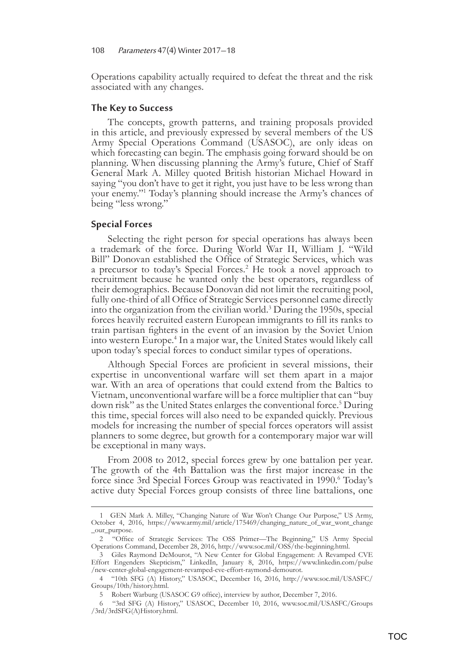Operations capability actually required to defeat the threat and the risk associated with any changes.

#### **The Key to Success**

The concepts, growth patterns, and training proposals provided in this article, and previously expressed by several members of the US Army Special Operations Command (USASOC), are only ideas on which forecasting can begin. The emphasis going forward should be on planning. When discussing planning the Army's future, Chief of Staff General Mark A. Milley quoted British historian Michael Howard in saying "you don't have to get it right, you just have to be less wrong than your enemy."1 Today's planning should increase the Army's chances of being "less wrong."

#### **Special Forces**

Selecting the right person for special operations has always been a trademark of the force. During World War II, William J. "Wild Bill" Donovan established the Office of Strategic Services, which was a precursor to today's Special Forces.<sup>2</sup> He took a novel approach to recruitment because he wanted only the best operators, regardless of their demographics. Because Donovan did not limit the recruiting pool, fully one-third of all Office of Strategic Services personnel came directly into the organization from the civilian world.<sup>3</sup> During the 1950s, special forces heavily recruited eastern European immigrants to fill its ranks to train partisan fighters in the event of an invasion by the Soviet Union into western Europe.<sup>4</sup> In a major war, the United States would likely call upon today's special forces to conduct similar types of operations.

Although Special Forces are proficient in several missions, their expertise in unconventional warfare will set them apart in a major war. With an area of operations that could extend from the Baltics to Vietnam, unconventional warfare will be a force multiplier that can "buy down risk" as the United States enlarges the conventional force.<sup>5</sup> During this time, special forces will also need to be expanded quickly. Previous models for increasing the number of special forces operators will assist planners to some degree, but growth for a contemporary major war will be exceptional in many ways.

From 2008 to 2012, special forces grew by one battalion per year. The growth of the 4th Battalion was the first major increase in the force since 3rd Special Forces Group was reactivated in 1990.<sup>6</sup> Today's active duty Special Forces group consists of three line battalions, one

<sup>1</sup>GEN Mark A. Milley, "Changing Nature of War Won't Change Our Purpose," US Army, October 4, 2016, https://www.army.mil/article/175469/changing\_nature\_of\_war\_wont\_change \_our\_purpose.

<sup>2     &</sup>quot;Office of Strategic Services: The OSS Primer—The Beginning," US Army Special Operations Command, December 28, 2016, http://www.soc.mil/OSS/the-beginning.html.

<sup>3</sup>Giles Raymond DeMourot, "A New Center for Global Engagement: A Revamped CVE Effort Engenders Skepticism," LinkedIn, January 8, 2016, https://www.linkedin.com/pulse /new-center-global-engagement-revamped-cve-effort-raymond-demourot.

<sup>4        &</sup>quot;10th SFG (A) History," USASOC, December 16, 2016, http://www.soc.mil/USASFC/ Groups/10th/history.html.

<sup>5</sup> Robert Warburg (USASOC G9 office), interview by author, December 7, 2016.

<sup>6 
&</sup>quot;3rd SFG (A) History," USASOC, December 10, 2016, www.soc.mil/USASFC/Groups /3rd/3rdSFG(A)History.html.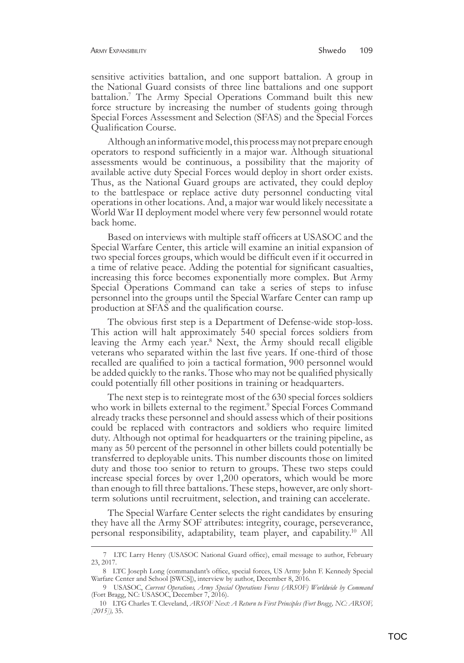sensitive activities battalion, and one support battalion. A group in the National Guard consists of three line battalions and one support battalion.<sup>7</sup> The Army Special Operations Command built this new force structure by increasing the number of students going through Special Forces Assessment and Selection (SFAS) and the Special Forces Qualification Course.

Although an informative model, this process may not prepare enough operators to respond sufficiently in a major war. Although situational assessments would be continuous, a possibility that the majority of available active duty Special Forces would deploy in short order exists. Thus, as the National Guard groups are activated, they could deploy to the battlespace or replace active duty personnel conducting vital operations in other locations. And, a major war would likely necessitate a World War II deployment model where very few personnel would rotate back home.

Based on interviews with multiple staff officers at USASOC and the Special Warfare Center, this article will examine an initial expansion of two special forces groups, which would be difficult even if it occurred in a time of relative peace. Adding the potential for significant casualties, increasing this force becomes exponentially more complex. But Army Special Operations Command can take a series of steps to infuse personnel into the groups until the Special Warfare Center can ramp up production at SFAS and the qualification course.

The obvious first step is a Department of Defense-wide stop-loss. This action will halt approximately 540 special forces soldiers from leaving the Army each year.8 Next, the Army should recall eligible veterans who separated within the last five years. If one-third of those recalled are qualified to join a tactical formation, 900 personnel would be added quickly to the ranks. Those who may not be qualified physically could potentially fill other positions in training or headquarters.

The next step is to reintegrate most of the 630 special forces soldiers who work in billets external to the regiment.<sup>9</sup> Special Forces Command already tracks these personnel and should assess which of their positions could be replaced with contractors and soldiers who require limited duty. Although not optimal for headquarters or the training pipeline, as many as 50 percent of the personnel in other billets could potentially be transferred to deployable units. This number discounts those on limited duty and those too senior to return to groups. These two steps could increase special forces by over 1,200 operators, which would be more than enough to fill three battalions. These steps, however, are only shortterm solutions until recruitment, selection, and training can accelerate.

The Special Warfare Center selects the right candidates by ensuring they have all the Army SOF attributes: integrity, courage, perseverance, personal responsibility, adaptability, team player, and capability.10 All

<sup>7</sup>LTC Larry Henry (USASOC National Guard office), email message to author, February 23, 2017.

<sup>8</sup>LTC Joseph Long (commandant's office, special forces, US Army John F. Kennedy Special Warfare Center and School [SWCS]), interview by author, December 8, 2016.

<sup>9</sup>USASOC, *Current Operations, Army Special Operations Forces (ARSOF) Worldwide by Command* (Fort Bragg, NC: USASOC, December 7, 2016).

<sup>10</sup>LTG Charles T. Cleveland, *ARSOF Next: A Return to First Principles (Fort Bragg, NC: ARSOF, [2015]),* 35.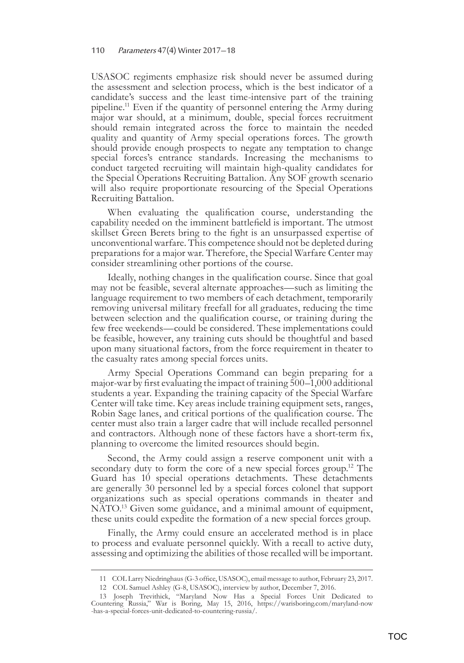USASOC regiments emphasize risk should never be assumed during the assessment and selection process, which is the best indicator of a candidate's success and the least time-intensive part of the training pipeline.11 Even if the quantity of personnel entering the Army during major war should, at a minimum, double, special forces recruitment should remain integrated across the force to maintain the needed quality and quantity of Army special operations forces. The growth should provide enough prospects to negate any temptation to change special forces's entrance standards. Increasing the mechanisms to conduct targeted recruiting will maintain high-quality candidates for the Special Operations Recruiting Battalion. Any SOF growth scenario will also require proportionate resourcing of the Special Operations Recruiting Battalion.

When evaluating the qualification course, understanding the capability needed on the imminent battlefield is important. The utmost skillset Green Berets bring to the fight is an unsurpassed expertise of unconventional warfare. This competence should not be depleted during preparations for a major war. Therefore, the Special Warfare Center may consider streamlining other portions of the course.

Ideally, nothing changes in the qualification course. Since that goal may not be feasible, several alternate approaches—such as limiting the language requirement to two members of each detachment, temporarily removing universal military freefall for all graduates, reducing the time between selection and the qualification course, or training during the few free weekends—could be considered. These implementations could be feasible, however, any training cuts should be thoughtful and based upon many situational factors, from the force requirement in theater to the casualty rates among special forces units.

Army Special Operations Command can begin preparing for a major-war by first evaluating the impact of training 500–1,000 additional students a year. Expanding the training capacity of the Special Warfare Center will take time. Key areas include training equipment sets, ranges, Robin Sage lanes, and critical portions of the qualification course. The center must also train a larger cadre that will include recalled personnel and contractors. Although none of these factors have a short-term fix, planning to overcome the limited resources should begin.

Second, the Army could assign a reserve component unit with a secondary duty to form the core of a new special forces group.<sup>12</sup> The Guard has 10 special operations detachments. These detachments are generally 30 personnel led by a special forces colonel that support organizations such as special operations commands in theater and NATO.<sup>13</sup> Given some guidance, and a minimal amount of equipment, these units could expedite the formation of a new special forces group.

Finally, the Army could ensure an accelerated method is in place to process and evaluate personnel quickly. With a recall to active duty, assessing and optimizing the abilities of those recalled will be important.

<sup>11</sup>COL Larry Niedringhaus (G-3 office, USASOC), email message to author, February 23, 2017.

<sup>12</sup> COL Samuel Ashley (G-8, USASOC), interview by author, December 7, 2016.

<sup>13</sup> Joseph Trevithick, "Maryland Now Has a Special Forces Unit Dedicated to Countering Russia," War is Boring, May 15, 2016, https://warisboring.com/maryland-now -has-a-special-forces-unit-dedicated-to-countering-russia/.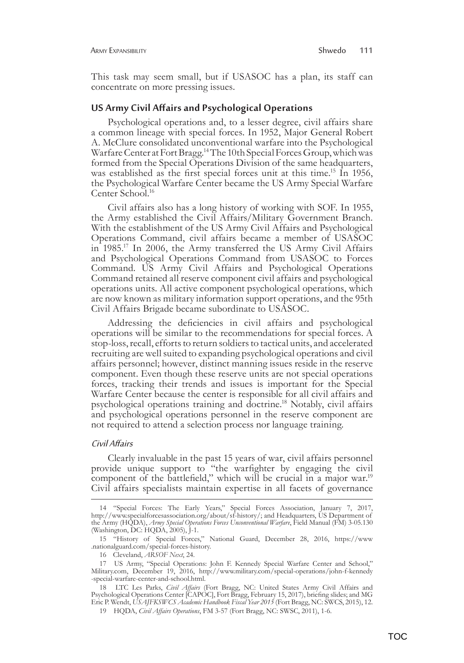This task may seem small, but if USASOC has a plan, its staff can concentrate on more pressing issues.

#### **US Army Civil Affairs and Psychological Operations**

Psychological operations and, to a lesser degree, civil affairs share a common lineage with special forces. In 1952, Major General Robert A. McClure consolidated unconventional warfare into the Psychological Warfare Center at Fort Bragg.14 The 10th Special Forces Group, which was formed from the Special Operations Division of the same headquarters, was established as the first special forces unit at this time.<sup>15</sup> In 1956, the Psychological Warfare Center became the US Army Special Warfare Center School.16

Civil affairs also has a long history of working with SOF. In 1955, the Army established the Civil Affairs/Military Government Branch. With the establishment of the US Army Civil Affairs and Psychological Operations Command, civil affairs became a member of USASOC in 1985.17 In 2006, the Army transferred the US Army Civil Affairs and Psychological Operations Command from USASOC to Forces Command. US Army Civil Affairs and Psychological Operations Command retained all reserve component civil affairs and psychological operations units. All active component psychological operations, which are now known as military information support operations, and the 95th Civil Affairs Brigade became subordinate to USASOC.

Addressing the deficiencies in civil affairs and psychological operations will be similar to the recommendations for special forces. A stop-loss, recall, efforts to return soldiers to tactical units, and accelerated recruiting are well suited to expanding psychological operations and civil affairs personnel; however, distinct manning issues reside in the reserve component. Even though these reserve units are not special operations forces, tracking their trends and issues is important for the Special Warfare Center because the center is responsible for all civil affairs and psychological operations training and doctrine.18 Notably, civil affairs and psychological operations personnel in the reserve component are not required to attend a selection process nor language training.

#### Civil Affairs

Clearly invaluable in the past 15 years of war, civil affairs personnel provide unique support to "the warfighter by engaging the civil component of the battlefield," which will be crucial in a major war.<sup>19</sup> Civil affairs specialists maintain expertise in all facets of governance

<sup>14           &</sup>quot;Special Forces: The Early Years," Special Forces Association, January 7, 2017, http://www.specialforcesassociation.org/about/sf-history/; and Headquarters, US Department of the Army (HQDA), *Army Special Operations Forces Unconventional Warfare*, Field Manual (FM) 3-05.130 (Washington, DC: HQDA, 2005), J-1.

<sup>15 &</sup>quot;History of Special Forces," National Guard, December 28, 2016, https://www .nationalguard.com/special-forces-history.

<sup>16</sup>Cleveland, *ARSOF Next*, 24.

<sup>17</sup>US Army, "Special Operations: John F. Kennedy Special Warfare Center and School," Military.com, December 19, 2016, http://www.military.com/special-operations/john-f-kennedy -special-warfare-center-and-school.html.

<sup>18</sup>LTC Les Parks, *Civil Affairs* (Fort Bragg, NC: United States Army Civil Affairs and Psychological Operations Center [CAPOC], Fort Bragg, February 15, 2017), briefing slides; and MG Eric P. Wendt, *USAJFKSWCS Academic Handbook Fiscal Year 2015* (Fort Bragg, NC: SWCS, 2015), 12.

<sup>19</sup>HQDA, *Civil Affairs Operations*, FM 3-57 (Fort Bragg, NC: SWSC, 2011), 1-6.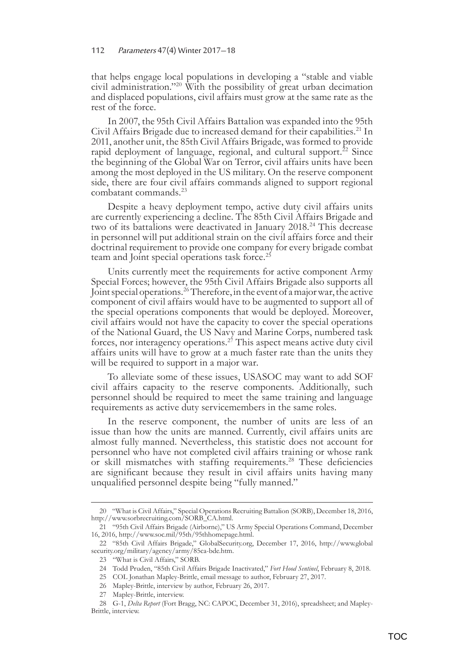that helps engage local populations in developing a "stable and viable civil administration."20 With the possibility of great urban decimation and displaced populations, civil affairs must grow at the same rate as the rest of the force.

In 2007, the 95th Civil Affairs Battalion was expanded into the 95th Civil Affairs Brigade due to increased demand for their capabilities.<sup>21</sup> In 2011, another unit, the 85th Civil Affairs Brigade, was formed to provide rapid deployment of language, regional, and cultural support. $^{22}$  Since the beginning of the Global War on Terror, civil affairs units have been among the most deployed in the US military. On the reserve component side, there are four civil affairs commands aligned to support regional combatant commands.23

Despite a heavy deployment tempo, active duty civil affairs units are currently experiencing a decline. The 85th Civil Affairs Brigade and two of its battalions were deactivated in January 2018.<sup>24</sup> This decrease in personnel will put additional strain on the civil affairs force and their doctrinal requirement to provide one company for every brigade combat team and Joint special operations task force.<sup>25</sup>

Units currently meet the requirements for active component Army Special Forces; however, the 95th Civil Affairs Brigade also supports all Joint special operations.<sup>26</sup> Therefore, in the event of a major war, the active component of civil affairs would have to be augmented to support all of the special operations components that would be deployed. Moreover, civil affairs would not have the capacity to cover the special operations of the National Guard, the US Navy and Marine Corps, numbered task forces, nor interagency operations.27 This aspect means active duty civil affairs units will have to grow at a much faster rate than the units they will be required to support in a major war.

To alleviate some of these issues, USASOC may want to add SOF civil affairs capacity to the reserve components. Additionally, such personnel should be required to meet the same training and language requirements as active duty servicemembers in the same roles.

In the reserve component, the number of units are less of an issue than how the units are manned. Currently, civil affairs units are almost fully manned. Nevertheless, this statistic does not account for personnel who have not completed civil affairs training or whose rank or skill mismatches with staffing requirements.28 These deficiencies are significant because they result in civil affairs units having many unqualified personnel despite being "fully manned."

<sup>20     &</sup>quot;What is Civil Affairs," Special Operations Recruiting Battalion (SORB), December 18, 2016, http://www.sorbrecruiting.com/SORB\_CA.html.

<sup>21     &</sup>quot;95th Civil Affairs Brigade (Airborne)," US Army Special Operations Command, December 16, 2016, http://www.soc.mil/95th/95thhomepage.html.

<sup>22        &</sup>quot;85th Civil Affairs Brigade," GlobalSecurity.org, December 17, 2016, http://www.global security.org/military/agency/army/85ca-bde.htm.

<sup>23</sup> *''What is Civil Affairs," SORB.* 

<sup>24</sup>Todd Pruden, "85th Civil Affairs Brigade Inactivated," *Fort Hood Sentinel*, February 8, 2018.

<sup>25</sup> COL Jonathan Mapley-Brittle, email message to author, February 27, 2017.

<sup>26</sup> Mapley-Brittle, interview by author, February 26, 2017.

<sup>27</sup> Mapley-Brittle, interview.

<sup>28</sup>G-1, *Delta Report* (Fort Bragg, NC: CAPOC, December 31, 2016), spreadsheet; and Mapley-Brittle, interview.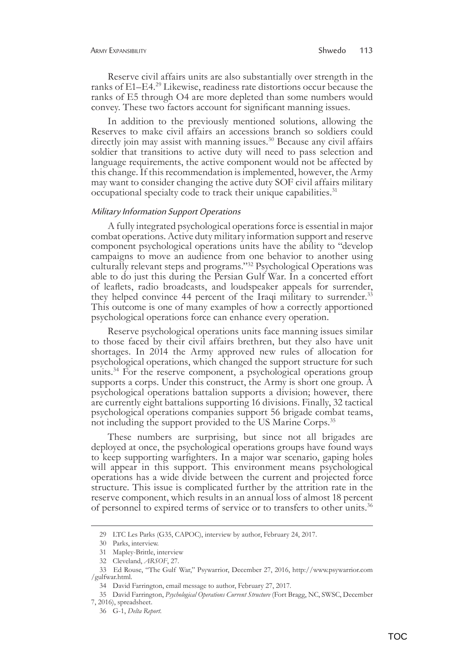Reserve civil affairs units are also substantially over strength in the ranks of E1–E4.29 Likewise, readiness rate distortions occur because the ranks of E5 through O4 are more depleted than some numbers would convey. These two factors account for significant manning issues.

In addition to the previously mentioned solutions, allowing the Reserves to make civil affairs an accessions branch so soldiers could directly join may assist with manning issues.<sup>30</sup> Because any civil affairs soldier that transitions to active duty will need to pass selection and language requirements, the active component would not be affected by this change. If this recommendation is implemented, however, the Army may want to consider changing the active duty SOF civil affairs military occupational specialty code to track their unique capabilities.<sup>31</sup>

#### Military Information Support Operations

A fully integrated psychological operations force is essential in major combat operations. Active duty military information support and reserve component psychological operations units have the ability to "develop campaigns to move an audience from one behavior to another using culturally relevant steps and programs."32 Psychological Operations was able to do just this during the Persian Gulf War. In a concerted effort of leaflets, radio broadcasts, and loudspeaker appeals for surrender, they helped convince 44 percent of the Iraqi military to surrender.<sup>33</sup> This outcome is one of many examples of how a correctly apportioned psychological operations force can enhance every operation.

Reserve psychological operations units face manning issues similar to those faced by their civil affairs brethren, but they also have unit shortages. In 2014 the Army approved new rules of allocation for psychological operations, which changed the support structure for such units.<sup>34</sup> For the reserve component, a psychological operations group supports a corps. Under this construct, the Army is short one group. A psychological operations battalion supports a division; however, there are currently eight battalions supporting 16 divisions. Finally, 32 tactical psychological operations companies support 56 brigade combat teams, not including the support provided to the US Marine Corps.<sup>35</sup>

These numbers are surprising, but since not all brigades are deployed at once, the psychological operations groups have found ways to keep supporting warfighters. In a major war scenario, gaping holes will appear in this support. This environment means psychological operations has a wide divide between the current and projected force structure. This issue is complicated further by the attrition rate in the reserve component, which results in an annual loss of almost 18 percent of personnel to expired terms of service or to transfers to other units.36

<sup>29</sup> LTC Les Parks (G35, CAPOC), interview by author, February 24, 2017.

<sup>30</sup> Parks, interview.

<sup>31</sup> **Mapley-Brittle**, interview

<sup>32</sup> Cleveland, *ARSOF*, 27.

<sup>33</sup>Ed Rouse, "The Gulf War," Psywarrior, December 27, 2016, http://www.psywarrior.com /gulfwar.html.

<sup>34</sup> David Farrington, email message to author, February 27, 2017.

<sup>35</sup>David Farrington, *Psychological Operations Current Structure* (Fort Bragg, NC, SWSC, December 7, 2016), spreadsheet.

<sup>36</sup> G-1, *Delta Report*.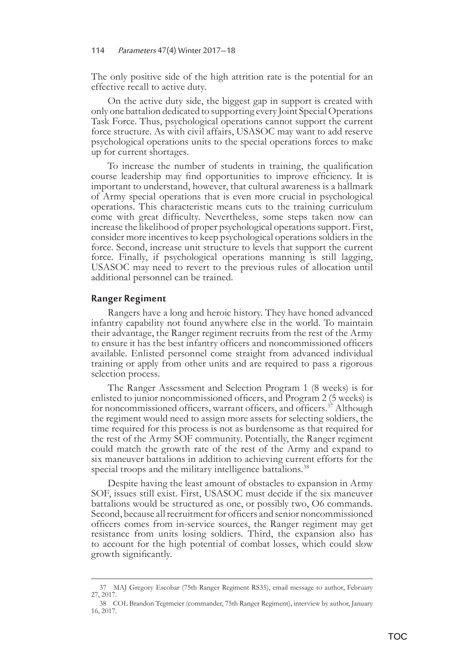The only positive side of the high attrition rate is the potential for an effective recall to active duty.

On the active duty side, the biggest gap in support is created with only one battalion dedicated to supporting every Joint Special Operations Task Force. Thus, psychological operations cannot support the current force structure. As with civil affairs, USASOC may want to add reserve psychological operations units to the special operations forces to make up for current shortages.

To increase the number of students in training, the qualification course leadership may find opportunities to improve efficiency. It is important to understand, however, that cultural awareness is a hallmark of Army special operations that is even more crucial in psychological operations. This characteristic means cuts to the training curriculum come with great difficulty. Nevertheless, some steps taken now can increase the likelihood of proper psychological operations support. First, consider more incentives to keep psychological operations soldiers in the force. Second, increase unit structure to levels that support the current force. Finally, if psychological operations manning is still lagging, USASOC may need to revert to the previous rules of allocation until additional personnel can be trained.

#### **Ranger Regiment**

Rangers have a long and heroic history. They have honed advanced infantry capability not found anywhere else in the world. To maintain their advantage, the Ranger regiment recruits from the rest of the Army to ensure it has the best infantry officers and noncommissioned officers available. Enlisted personnel come straight from advanced individual training or apply from other units and are required to pass a rigorous selection process.

The Ranger Assessment and Selection Program 1 (8 weeks) is for enlisted to junior noncommissioned officers, and Program 2 (5 weeks) is for noncommissioned officers, warrant officers, and officers.<sup>37</sup> Although the regiment would need to assign more assets for selecting soldiers, the time required for this process is not as burdensome as that required for the rest of the Army SOF community. Potentially, the Ranger regiment could match the growth rate of the rest of the Army and expand to six maneuver battalions in addition to achieving current efforts for the special troops and the military intelligence battalions.<sup>38</sup>

Despite having the least amount of obstacles to expansion in Army SOF, issues still exist. First, USASOC must decide if the six maneuver battalions would be structured as one, or possibly two, O6 commands. Second, because all recruitment for officers and senior noncommissioned officers comes from in-service sources, the Ranger regiment may get resistance from units losing soldiers. Third, the expansion also has to account for the high potential of combat losses, which could slow growth significantly.

<sup>37</sup>MAJ Gregory Escobar (75th Ranger Regiment RS35), email message to author, February 27, 2017.

<sup>38</sup>COL Brandon Tegtmeier (commander, 75th Ranger Regiment), interview by author, January 16, 2017.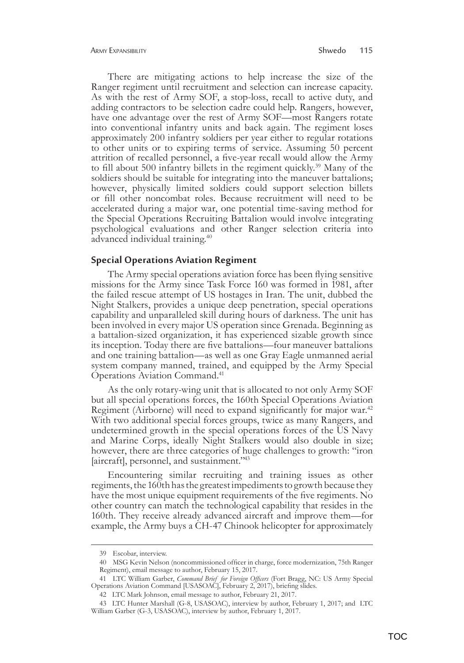There are mitigating actions to help increase the size of the Ranger regiment until recruitment and selection can increase capacity. As with the rest of Army SOF, a stop-loss, recall to active duty, and adding contractors to be selection cadre could help. Rangers, however, have one advantage over the rest of Army SOF—most Rangers rotate into conventional infantry units and back again. The regiment loses approximately 200 infantry soldiers per year either to regular rotations to other units or to expiring terms of service. Assuming 50 percent attrition of recalled personnel, a five-year recall would allow the Army to fill about 500 infantry billets in the regiment quickly.39 Many of the soldiers should be suitable for integrating into the maneuver battalions; however, physically limited soldiers could support selection billets or fill other noncombat roles. Because recruitment will need to be accelerated during a major war, one potential time-saving method for the Special Operations Recruiting Battalion would involve integrating psychological evaluations and other Ranger selection criteria into advanced individual training.40

#### **Special Operations Aviation Regiment**

The Army special operations aviation force has been flying sensitive missions for the Army since Task Force 160 was formed in 1981, after the failed rescue attempt of US hostages in Iran. The unit, dubbed the Night Stalkers, provides a unique deep penetration, special operations capability and unparalleled skill during hours of darkness. The unit has been involved in every major US operation since Grenada. Beginning as a battalion-sized organization, it has experienced sizable growth since its inception. Today there are five battalions—four maneuver battalions and one training battalion—as well as one Gray Eagle unmanned aerial system company manned, trained, and equipped by the Army Special Operations Aviation Command.41

As the only rotary-wing unit that is allocated to not only Army SOF but all special operations forces, the 160th Special Operations Aviation Regiment (Airborne) will need to expand significantly for major war.<sup>42</sup> With two additional special forces groups, twice as many Rangers, and undetermined growth in the special operations forces of the US Navy and Marine Corps, ideally Night Stalkers would also double in size; however, there are three categories of huge challenges to growth: "iron [aircraft], personnel, and sustainment."<sup>43</sup>

Encountering similar recruiting and training issues as other regiments, the 160th has the greatest impediments to growth because they have the most unique equipment requirements of the five regiments. No other country can match the technological capability that resides in the 160th. They receive already advanced aircraft and improve them—for example, the Army buys a CH-47 Chinook helicopter for approximately

<sup>39</sup> Escobar, interview.

<sup>40</sup>MSG Kevin Nelson (noncommissioned officer in charge, force modernization, 75th Ranger Regiment), email message to author, February 15, 2017.

<sup>41</sup>LTC William Garber, *Command Brief for Foreign Officers* (Fort Bragg, NC: US Army Special Operations Aviation Command [USASOAC], February 2, 2017), briefing slides.

<sup>42</sup>LTC Mark Johnson, email message to author, February 21, 2017.

<sup>43</sup>LTC Hunter Marshall (G-8, USASOAC), interview by author, February 1, 2017; and LTC William Garber (G-3, USASOAC), interview by author, February 1, 2017.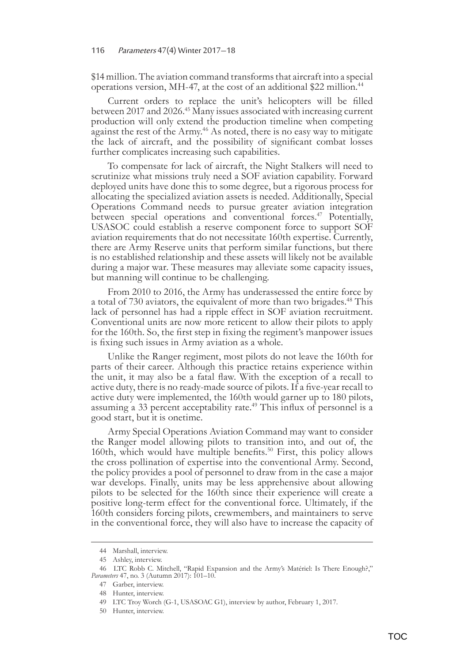\$14 million. The aviation command transforms that aircraft into a special operations version, MH-47, at the cost of an additional \$22 million.<sup>44</sup>

Current orders to replace the unit's helicopters will be filled between 2017 and 2026.<sup>45</sup> Many issues associated with increasing current production will only extend the production timeline when competing against the rest of the Army.<sup>46</sup> As noted, there is no easy way to mitigate the lack of aircraft, and the possibility of significant combat losses further complicates increasing such capabilities.

To compensate for lack of aircraft, the Night Stalkers will need to scrutinize what missions truly need a SOF aviation capability. Forward deployed units have done this to some degree, but a rigorous process for allocating the specialized aviation assets is needed. Additionally, Special Operations Command needs to pursue greater aviation integration between special operations and conventional forces.<sup>47</sup> Potentially, USASOC could establish a reserve component force to support SOF aviation requirements that do not necessitate 160th expertise. Currently, there are Army Reserve units that perform similar functions, but there is no established relationship and these assets will likely not be available during a major war. These measures may alleviate some capacity issues, but manning will continue to be challenging.

From 2010 to 2016, the Army has underassessed the entire force by a total of 730 aviators, the equivalent of more than two brigades.<sup>48</sup> This lack of personnel has had a ripple effect in SOF aviation recruitment. Conventional units are now more reticent to allow their pilots to apply for the 160th. So, the first step in fixing the regiment's manpower issues is fixing such issues in Army aviation as a whole.

Unlike the Ranger regiment, most pilots do not leave the 160th for parts of their career. Although this practice retains experience within the unit, it may also be a fatal flaw. With the exception of a recall to active duty, there is no ready-made source of pilots. If a five-year recall to active duty were implemented, the 160th would garner up to 180 pilots, assuming a 33 percent acceptability rate.<sup>49</sup> This influx of personnel is a good start, but it is onetime.

Army Special Operations Aviation Command may want to consider the Ranger model allowing pilots to transition into, and out of, the 160th, which would have multiple benefits.<sup>50</sup> First, this policy allows the cross pollination of expertise into the conventional Army. Second, the policy provides a pool of personnel to draw from in the case a major war develops. Finally, units may be less apprehensive about allowing pilots to be selected for the 160th since their experience will create a positive long-term effect for the conventional force. Ultimately, if the 160th considers forcing pilots, crewmembers, and maintainers to serve in the conventional force, they will also have to increase the capacity of

<sup>44</sup> Marshall, interview.

<sup>45</sup> Ashley, interview.

<sup>46</sup>LTC Robb C. Mitchell, "Rapid Expansion and the Army's Matériel: Is There Enough?," Parameters 47, no. 3 (Autumn 2017):  $\overline{101-10}$ .

<sup>47</sup> Garber, interview.

<sup>48</sup> **Hunter**, interview.

<sup>49</sup> LTC Troy Worch (G-1, USASOAC G1), interview by author, February 1, 2017.

<sup>50</sup> Hunter, interview.